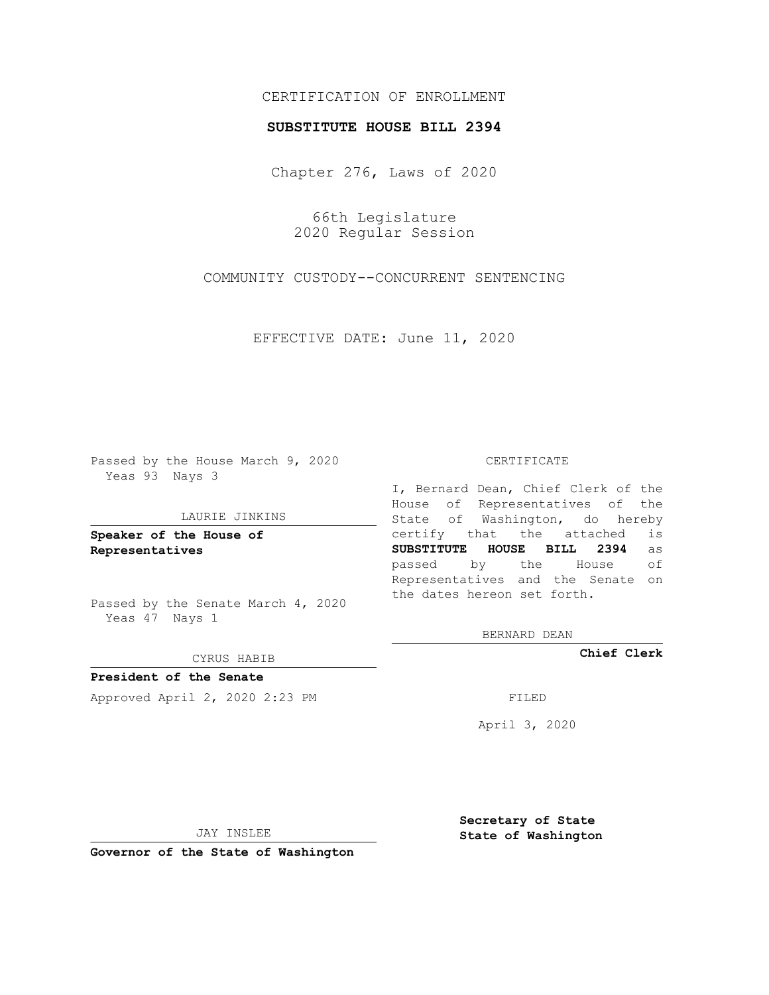## CERTIFICATION OF ENROLLMENT

### **SUBSTITUTE HOUSE BILL 2394**

Chapter 276, Laws of 2020

66th Legislature 2020 Regular Session

COMMUNITY CUSTODY--CONCURRENT SENTENCING

EFFECTIVE DATE: June 11, 2020

Passed by the House March 9, 2020 Yeas 93 Nays 3

#### LAURIE JINKINS

**Speaker of the House of Representatives**

Passed by the Senate March 4, 2020 Yeas 47 Nays 1

#### CYRUS HABIB

**President of the Senate** Approved April 2, 2020 2:23 PM

#### CERTIFICATE

I, Bernard Dean, Chief Clerk of the House of Representatives of the State of Washington, do hereby certify that the attached is **SUBSTITUTE HOUSE BILL 2394** as passed by the House of Representatives and the Senate on the dates hereon set forth.

BERNARD DEAN

**Chief Clerk**

April 3, 2020

JAY INSLEE

**Governor of the State of Washington**

**Secretary of State State of Washington**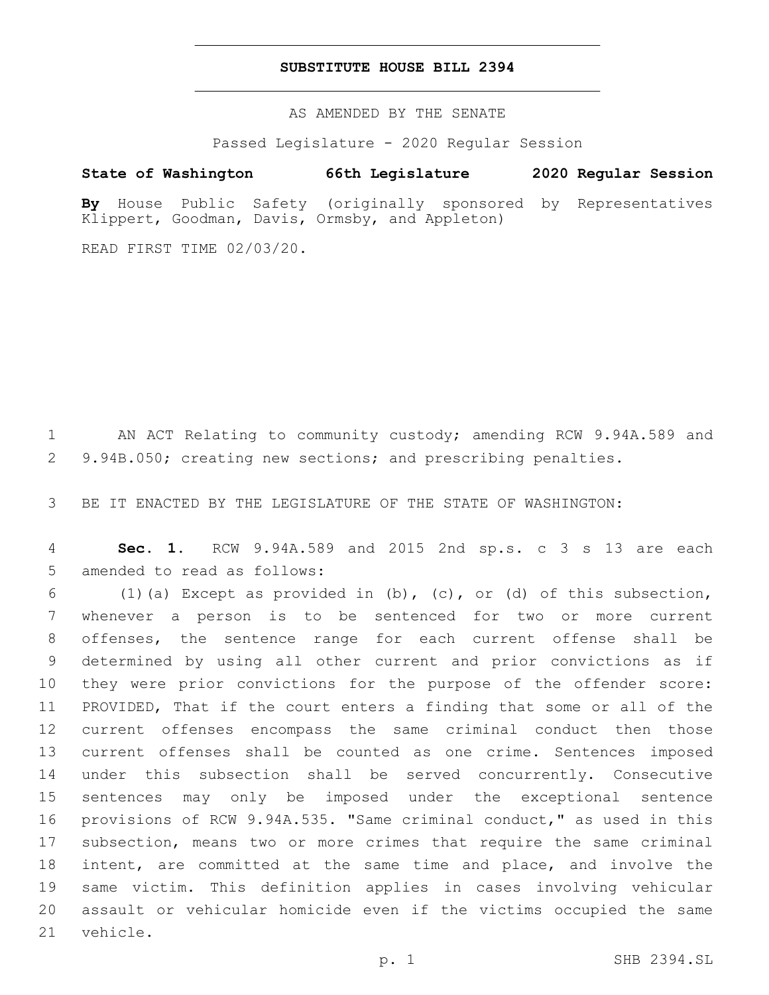## **SUBSTITUTE HOUSE BILL 2394**

AS AMENDED BY THE SENATE

Passed Legislature - 2020 Regular Session

# **State of Washington 66th Legislature 2020 Regular Session**

**By** House Public Safety (originally sponsored by Representatives Klippert, Goodman, Davis, Ormsby, and Appleton)

READ FIRST TIME 02/03/20.

 AN ACT Relating to community custody; amending RCW 9.94A.589 and 9.94B.050; creating new sections; and prescribing penalties.

BE IT ENACTED BY THE LEGISLATURE OF THE STATE OF WASHINGTON:

 **Sec. 1.** RCW 9.94A.589 and 2015 2nd sp.s. c 3 s 13 are each 5 amended to read as follows:

 (1)(a) Except as provided in (b), (c), or (d) of this subsection, whenever a person is to be sentenced for two or more current offenses, the sentence range for each current offense shall be determined by using all other current and prior convictions as if they were prior convictions for the purpose of the offender score: PROVIDED, That if the court enters a finding that some or all of the current offenses encompass the same criminal conduct then those current offenses shall be counted as one crime. Sentences imposed under this subsection shall be served concurrently. Consecutive sentences may only be imposed under the exceptional sentence provisions of RCW 9.94A.535. "Same criminal conduct," as used in this subsection, means two or more crimes that require the same criminal intent, are committed at the same time and place, and involve the same victim. This definition applies in cases involving vehicular assault or vehicular homicide even if the victims occupied the same 21 vehicle.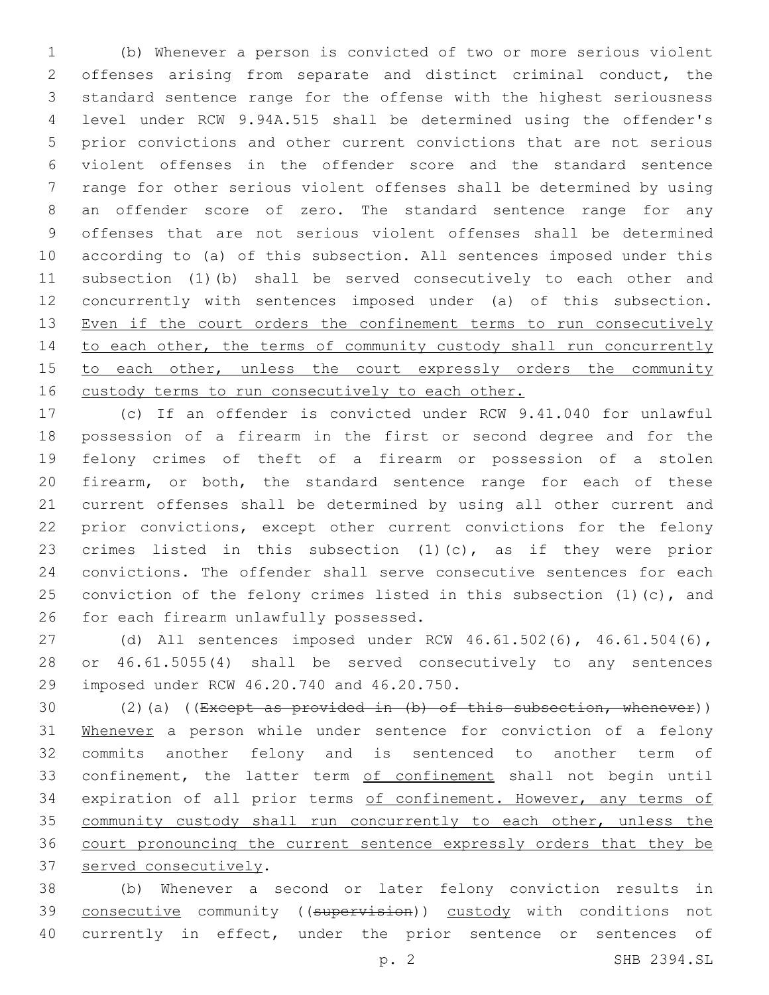(b) Whenever a person is convicted of two or more serious violent offenses arising from separate and distinct criminal conduct, the standard sentence range for the offense with the highest seriousness level under RCW 9.94A.515 shall be determined using the offender's prior convictions and other current convictions that are not serious violent offenses in the offender score and the standard sentence range for other serious violent offenses shall be determined by using an offender score of zero. The standard sentence range for any offenses that are not serious violent offenses shall be determined according to (a) of this subsection. All sentences imposed under this subsection (1)(b) shall be served consecutively to each other and concurrently with sentences imposed under (a) of this subsection. 13 Even if the court orders the confinement terms to run consecutively 14 to each other, the terms of community custody shall run concurrently 15 to each other, unless the court expressly orders the community custody terms to run consecutively to each other.

 (c) If an offender is convicted under RCW 9.41.040 for unlawful possession of a firearm in the first or second degree and for the felony crimes of theft of a firearm or possession of a stolen firearm, or both, the standard sentence range for each of these current offenses shall be determined by using all other current and prior convictions, except other current convictions for the felony crimes listed in this subsection (1)(c), as if they were prior convictions. The offender shall serve consecutive sentences for each 25 conviction of the felony crimes listed in this subsection (1)(c), and 26 for each firearm unlawfully possessed.

 (d) All sentences imposed under RCW 46.61.502(6), 46.61.504(6), or 46.61.5055(4) shall be served consecutively to any sentences 29 imposed under RCW 46.20.740 and 46.20.750.

30  $(2)(a)$  ((Except as provided in (b) of this subsection, whenever)) 31 Whenever a person while under sentence for conviction of a felony commits another felony and is sentenced to another term of 33 confinement, the latter term of confinement shall not begin until 34 expiration of all prior terms of confinement. However, any terms of 35 community custody shall run concurrently to each other, unless the court pronouncing the current sentence expressly orders that they be 37 served consecutively.

 (b) Whenever a second or later felony conviction results in 39 consecutive community ((supervision)) custody with conditions not 40 currently in effect, under the prior sentence or sentences of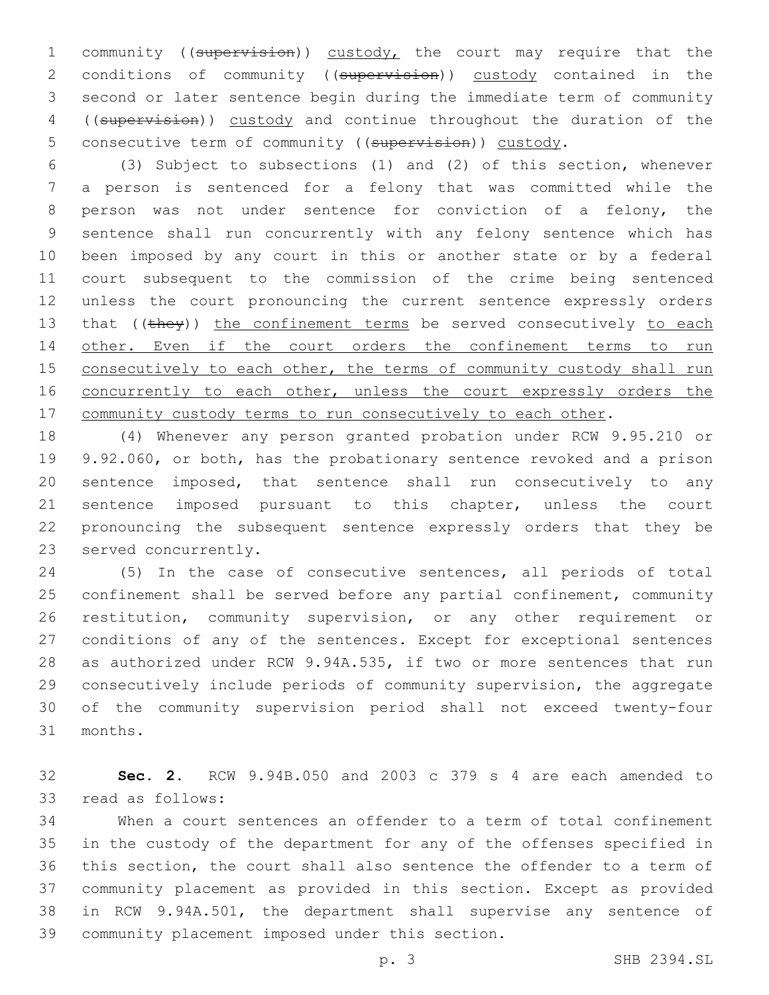1 community ((supervision)) custody, the court may require that the 2 conditions of community ((supervision)) custody contained in the second or later sentence begin during the immediate term of community ((supervision)) custody and continue throughout the duration of the 5 consecutive term of community ((supervision)) custody.

 (3) Subject to subsections (1) and (2) of this section, whenever a person is sentenced for a felony that was committed while the 8 person was not under sentence for conviction of a felony, the sentence shall run concurrently with any felony sentence which has been imposed by any court in this or another state or by a federal court subsequent to the commission of the crime being sentenced unless the court pronouncing the current sentence expressly orders 13 that  $((\text{they}) )$  the confinement terms be served consecutively to each 14 other. Even if the court orders the confinement terms to run 15 consecutively to each other, the terms of community custody shall run 16 concurrently to each other, unless the court expressly orders the 17 community custody terms to run consecutively to each other.

 (4) Whenever any person granted probation under RCW 9.95.210 or 9.92.060, or both, has the probationary sentence revoked and a prison sentence imposed, that sentence shall run consecutively to any sentence imposed pursuant to this chapter, unless the court pronouncing the subsequent sentence expressly orders that they be 23 served concurrently.

 (5) In the case of consecutive sentences, all periods of total confinement shall be served before any partial confinement, community restitution, community supervision, or any other requirement or conditions of any of the sentences. Except for exceptional sentences as authorized under RCW 9.94A.535, if two or more sentences that run consecutively include periods of community supervision, the aggregate of the community supervision period shall not exceed twenty-four months.31

 **Sec. 2.** RCW 9.94B.050 and 2003 c 379 s 4 are each amended to 33 read as follows:

 When a court sentences an offender to a term of total confinement in the custody of the department for any of the offenses specified in this section, the court shall also sentence the offender to a term of community placement as provided in this section. Except as provided in RCW 9.94A.501, the department shall supervise any sentence of 39 community placement imposed under this section.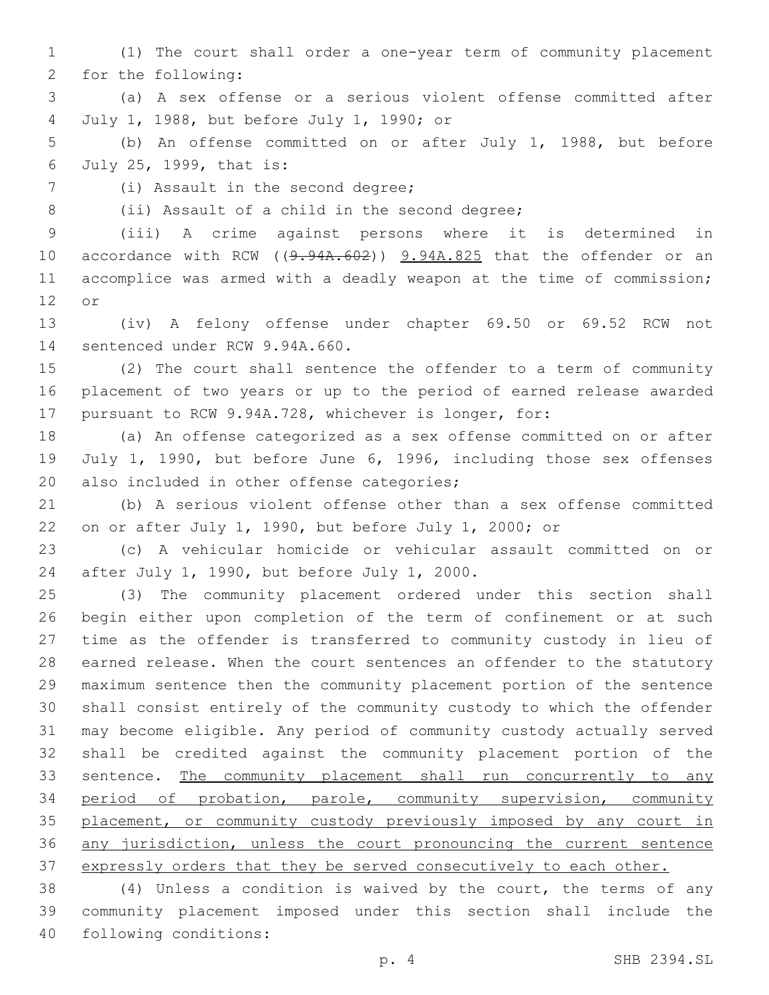(1) The court shall order a one-year term of community placement 2 for the following:

 (a) A sex offense or a serious violent offense committed after July 1, 1988, but before July 1, 1990; or4

 (b) An offense committed on or after July 1, 1988, but before July 25, 1999, that is:6

(i) Assault in the second degree;7

8 (ii) Assault of a child in the second degree;

(iii) A crime against persons where it is determined in

10 accordance with RCW ((9.94A.602)) 9.94A.825 that the offender or an accomplice was armed with a deadly weapon at the time of commission; 12 or

 (iv) A felony offense under chapter 69.50 or 69.52 RCW not 14 sentenced under RCW 9.94A.660.

 (2) The court shall sentence the offender to a term of community placement of two years or up to the period of earned release awarded pursuant to RCW 9.94A.728, whichever is longer, for:

 (a) An offense categorized as a sex offense committed on or after July 1, 1990, but before June 6, 1996, including those sex offenses 20 also included in other offense categories;

 (b) A serious violent offense other than a sex offense committed on or after July 1, 1990, but before July 1, 2000; or

 (c) A vehicular homicide or vehicular assault committed on or 24 after July 1, 1990, but before July 1, 2000.

 (3) The community placement ordered under this section shall begin either upon completion of the term of confinement or at such time as the offender is transferred to community custody in lieu of earned release. When the court sentences an offender to the statutory maximum sentence then the community placement portion of the sentence shall consist entirely of the community custody to which the offender may become eligible. Any period of community custody actually served shall be credited against the community placement portion of the 33 sentence. The community placement shall run concurrently to any period of probation, parole, community supervision, community placement, or community custody previously imposed by any court in any jurisdiction, unless the court pronouncing the current sentence 37 expressly orders that they be served consecutively to each other.

 (4) Unless a condition is waived by the court, the terms of any community placement imposed under this section shall include the 40 following conditions: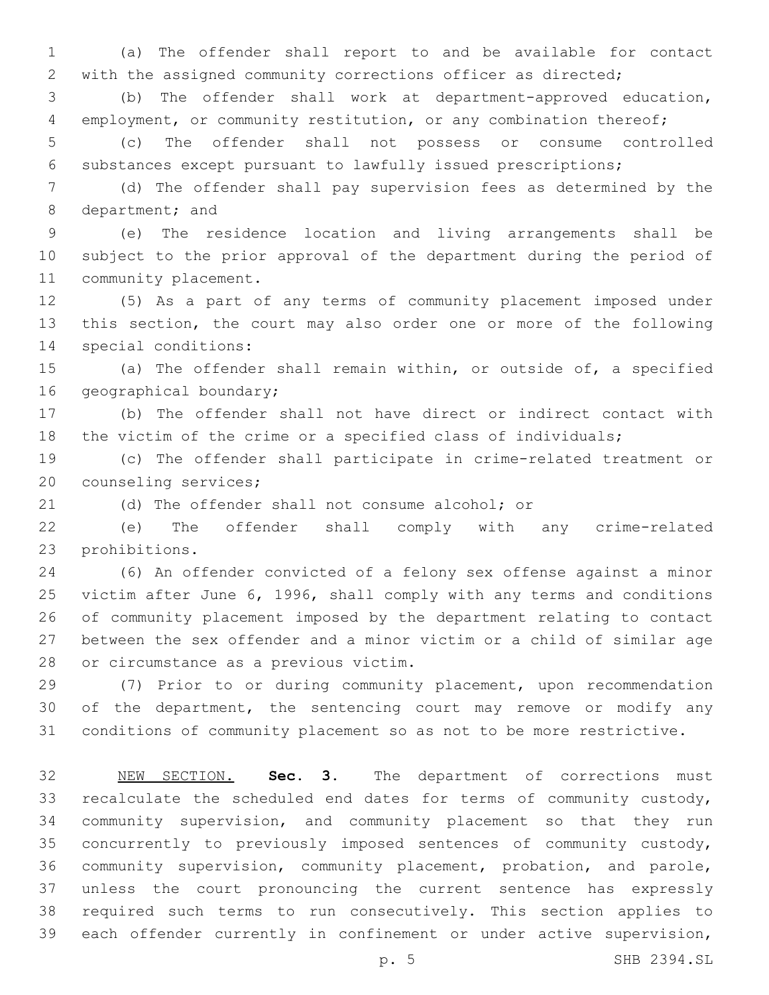(a) The offender shall report to and be available for contact with the assigned community corrections officer as directed;

 (b) The offender shall work at department-approved education, employment, or community restitution, or any combination thereof;

 (c) The offender shall not possess or consume controlled substances except pursuant to lawfully issued prescriptions;

 (d) The offender shall pay supervision fees as determined by the 8 department; and

 (e) The residence location and living arrangements shall be subject to the prior approval of the department during the period of 11 community placement.

 (5) As a part of any terms of community placement imposed under this section, the court may also order one or more of the following 14 special conditions:

 (a) The offender shall remain within, or outside of, a specified 16 geographical boundary;

 (b) The offender shall not have direct or indirect contact with the victim of the crime or a specified class of individuals;

 (c) The offender shall participate in crime-related treatment or 20 counseling services;

(d) The offender shall not consume alcohol; or

 (e) The offender shall comply with any crime-related 23 prohibitions.

 (6) An offender convicted of a felony sex offense against a minor victim after June 6, 1996, shall comply with any terms and conditions of community placement imposed by the department relating to contact between the sex offender and a minor victim or a child of similar age 28 or circumstance as a previous victim.

 (7) Prior to or during community placement, upon recommendation 30 of the department, the sentencing court may remove or modify any conditions of community placement so as not to be more restrictive.

 NEW SECTION. **Sec. 3.** The department of corrections must recalculate the scheduled end dates for terms of community custody, community supervision, and community placement so that they run concurrently to previously imposed sentences of community custody, community supervision, community placement, probation, and parole, unless the court pronouncing the current sentence has expressly required such terms to run consecutively. This section applies to each offender currently in confinement or under active supervision,

p. 5 SHB 2394.SL